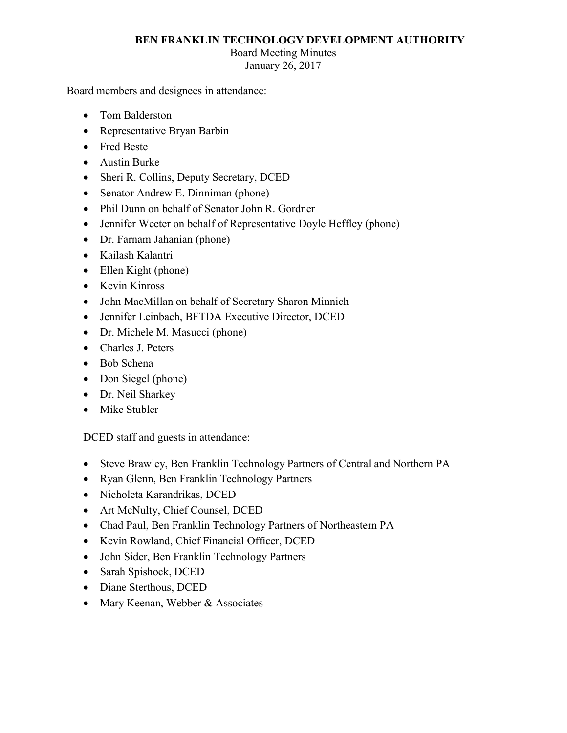## **BEN FRANKLIN TECHNOLOGY DEVELOPMENT AUTHORITY**

## Board Meeting Minutes

January 26, 2017

Board members and designees in attendance:

- Tom Balderston
- Representative Bryan Barbin
- Fred Beste
- Austin Burke
- Sheri R. Collins, Deputy Secretary, DCED
- Senator Andrew E. Dinniman (phone)
- Phil Dunn on behalf of Senator John R. Gordner
- Jennifer Weeter on behalf of Representative Doyle Heffley (phone)
- Dr. Farnam Jahanian (phone)
- Kailash Kalantri
- Ellen Kight (phone)
- Kevin Kinross
- John MacMillan on behalf of Secretary Sharon Minnich
- Jennifer Leinbach, BFTDA Executive Director, DCED
- Dr. Michele M. Masucci (phone)
- Charles J. Peters
- Bob Schena
- Don Siegel (phone)
- Dr. Neil Sharkey
- Mike Stubler

DCED staff and guests in attendance:

- Steve Brawley, Ben Franklin Technology Partners of Central and Northern PA
- Ryan Glenn, Ben Franklin Technology Partners
- Nicholeta Karandrikas, DCED
- Art McNulty, Chief Counsel, DCED
- Chad Paul, Ben Franklin Technology Partners of Northeastern PA
- Kevin Rowland, Chief Financial Officer, DCED
- John Sider, Ben Franklin Technology Partners
- Sarah Spishock, DCED
- Diane Sterthous, DCED
- Mary Keenan, Webber & Associates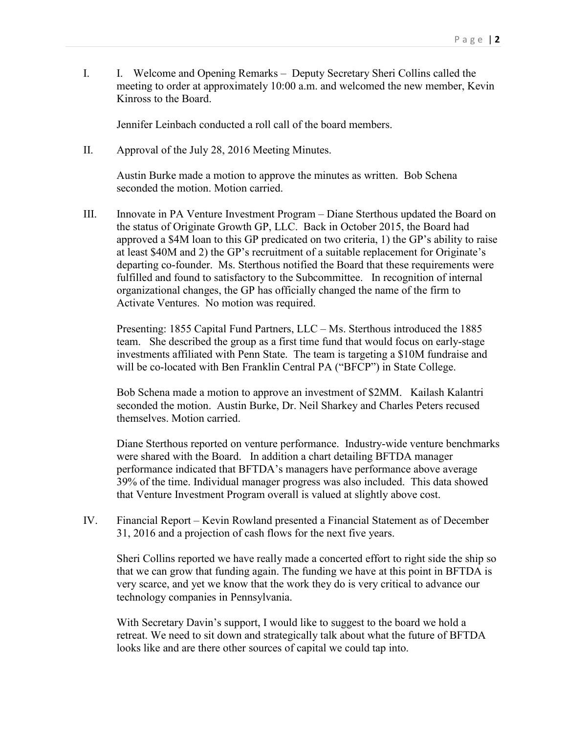I. I. Welcome and Opening Remarks – Deputy Secretary Sheri Collins called the meeting to order at approximately 10:00 a.m. and welcomed the new member, Kevin Kinross to the Board.

Jennifer Leinbach conducted a roll call of the board members.

II. Approval of the July 28, 2016 Meeting Minutes.

Austin Burke made a motion to approve the minutes as written. Bob Schena seconded the motion. Motion carried.

 Activate Ventures. No motion was required. III. Innovate in PA Venture Investment Program – Diane Sterthous updated the Board on the status of Originate Growth GP, LLC. Back in October 2015, the Board had approved a \$4M loan to this GP predicated on two criteria, 1) the GP's ability to raise at least \$40M and 2) the GP's recruitment of a suitable replacement for Originate's departing co-founder. Ms. Sterthous notified the Board that these requirements were fulfilled and found to satisfactory to the Subcommittee. In recognition of internal organizational changes, the GP has officially changed the name of the firm to

Presenting: 1855 Capital Fund Partners, LLC – Ms. Sterthous introduced the 1885 team. She described the group as a first time fund that would focus on early-stage investments affiliated with Penn State. The team is targeting a \$10M fundraise and will be co-located with Ben Franklin Central PA ("BFCP") in State College.

Bob Schena made a motion to approve an investment of \$2MM. Kailash Kalantri seconded the motion. Austin Burke, Dr. Neil Sharkey and Charles Peters recused themselves. Motion carried.

 Diane Sterthous reported on venture performance. Industry-wide venture benchmarks that Venture Investment Program overall is valued at slightly above cost. were shared with the Board. In addition a chart detailing BFTDA manager performance indicated that BFTDA's managers have performance above average 39% of the time. Individual manager progress was also included. This data showed

 31, 2016 and a projection of cash flows for the next five years. IV. Financial Report – Kevin Rowland presented a Financial Statement as of December

 that we can grow that funding again. The funding we have at this point in BFTDA is Sheri Collins reported we have really made a concerted effort to right side the ship so very scarce, and yet we know that the work they do is very critical to advance our technology companies in Pennsylvania.

 retreat. We need to sit down and strategically talk about what the future of BFTDA With Secretary Davin's support, I would like to suggest to the board we hold a looks like and are there other sources of capital we could tap into.